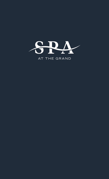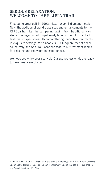# SERIOUS RELAXATION. WELCOME TO THE RTJ SPA TRAIL.

First came great golf in 1992. Next, luxury 4 diamond hotels. Now, the addition of world-class spas and enhancements to the RTJ Spa Trail. Let the pampering begin. From traditional warm stone massages to red carpet ready facials, the RTJ Spa Trail features six spas across Alabama offering innovative treatments in exquisite settings. With nearly 80,000 square feet of space collectively, the Spa Trail locations feature 49 treatment rooms for relaxing and rejuvenating experiences.

We hope you enjoy your spa visit. Our spa professionals are ready to take great care of you.

RTJ SPA TRAIL LOCATIONS: Spa at the Shoals (Florence); Spa at Ross Bridge (Hoover); Spa at Grand National (Opelika); Spa at Montgomery; Spa at the Battle House (Mobile) and Spa at the Grand (Pt. Clear).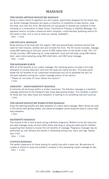# MASSAGE

## THE GRAND ARTISAN SIGNATURE MASSAGE

Using a custom blend of signature oils and creams, specifically designed for the Grand Spa, our skilled massage therapists will apply a collection of modalities to ease tension, relax the body, and calm the mind. We welcome our spa guests to request any modality of their choosing or a combination of Deep Tissue, CranioSacral Therapy, or Swedish Massage. Our signature service includes a botanical warm compress, complimentary hydrating service for the hands or feet, and is sure to leave you saying, Spaaaahh…

50m | 110m

## CBD SOULFUL MASSAGE

Bring harmony to the body with this organic CBD and passionflower enhanced service that cares for tired muscles, soothes skin and re-boots the mind. The 50 minute includes, massage using CBD balancing oil and your choice of CBD restore balm on the hands or feet. The 110 minute includes, CBD balancing oil, scalp treatment, hand and foot wrap using CBD restore balm, warm stone sampling using CBD relief balm, and CBD facial massage.

50m | 110m

## THE BAYSHORE SCRUB

With all of the benefits of our custom massage, this clarifying service includes a full body exfoliation to remove dead skin cells from the body and clarify the skin. This body polish allows the full benefits of our customized moisturizers and oils to penetrate the skin for ultimate hydration during the custom massage portion of the service.

\*\*Please do not shave 24 hours before this service\*\*

110m

## ASHIATSU – ASIAN BAREFOOT MASSAGE

A centuries old technique within a modern sanctuary. The Ashiatsu massage is a barefoot massage performed by the therapist's feet using deep gliding strokes. This modality is perfect for those who love deep tissue and relaxation or wanting to try something new and luxurious. 110m

## THE GRAND SIGNATURE WARM STONE MASSAGE

Enjoy the warming benefits and deep relaxation of a warm stone massage. Warm stones are used in this service with gliding strokes, and placed at energetic points along the body to induce total body relaxation.

110m

## MATERNITY MASSAGE

The miracle of life is hard at work during a Mothers pregnancy. Mother's-to-be will enjoy this pre-natal massage using coconut butter either side-lying or using pre-natal specific bolsters supporting their bodies to receive the full benefits of massage. Pregnancy massage may be performed up until delivery and assists in alleviating aching hips, back, and legs. Babies love it too!

50m | 110m

## COUPLES MASSAGE

The perfect experience for those looking for quality time with a loved one. We welcome all couples or friends to enjoy one another's company in this pampering custom massage for two. 50m | 110m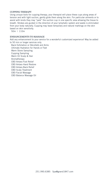## CUPPING THERAPY

Using unique tools for cupping therapy, your therapist will place these cups along areas of tension and with light suction, gently glide them along the skin. For particular ailments or to assist with knots they may "park" the suction cup in one specific area allowing the tissue to breath. Strokes are guided in the direction of your lymphatic system and waste is eliminated from your body naturally. Cupping may leave temporary and natural markings on the skin based on skin sensitivity.

50m | 110m

## ENHANCEMENTS TO MASSAGE

Add any enhancement to your service for a wonderful customized experience! May be added to 50 min or longer services only.

 Back Exfoliation or Décolleté and Arms Ultimate Hydration for Hands or Feet Warm Stone Sampling Cupping Sampling Warm Oil Scalp & Hair Aromatherapy CBD Antara Foot Relief CBD Antara Hand Restore CBD Antara Back Relief CBD Scalp Treatment CBD Facial Massage CBD Balance Massage Oil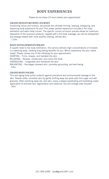# BODY EXPERIENCES

## Please do not shave 24 hours before your appointment

## GRAND SIGNATURE BODY JOURNEY

Combining luxury and science, we provide the ultimate firming, relaxing, energizing, and balancing body experience for you! This power packed experience includes a full body exfoliation and warm body cocoon. The specific cocoon occlusion process allows for maximum absorption of the luxurious products. Capped with a full body massage, you will be transported and emerge relaxed with more youthful looking, refined skin.

110m

## BODY ENVELOPMENTS/WRAPS

A superb head to toe body exfoliation, this service delivers high concentrations of minerals in a warming wrap, creating long lasting benefits for you. Which experience fits your needs today? Please choose one of the following for your appointment:

SHAPING – Firms, shapes, and hydrates the skin

RELAXING – Relaxes, moisturizes, and calms the body

ENERGIZING – Invigorates and revitalizes the skin

BALANCING – Recharges stressed skin, promotes grounding, and well-being 50m

## GRAND BODY POLISH

This anti-aging body polish protects against premature and environmental damage to the skin. Reveal softer, smoother skin by gently buffing away dry spots with fine sugar and salt granules. After polishing away dry, dull skin, enjoy a deeply penetrating and hydrating cream application to promote skin regeneration and elasticity. You will emerge silky smooth! 50m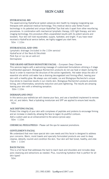# SKIN CARE

## HYDRAFACIAL MD

The award-winning HydraFacial system advances skin health by merging invigorating spa therapies with advanced medical technology. This medical device uses Vortex-Fusion technology in its patented and unique HydroPeel Tips that sets it apart from other resurfacing procedures. In combination with mechanical lymphatic therapy, LED light therapy, and skin imaging technology, this procedure offers unparalleled results with its potent serums and boosters. Your skin will look rejuvenated, supple, hydrated, and bright. If you have never received a HydraFacial service before, we highly suggest you start here.

50m | 110m

## HYDRAFACIAL ADD-ONS

Lymphatic drainage (included in the 110m service) HydraFacial of the Neck & Décolleté Perk Eye or Lip (as an add-on) Dermaplane

## THE GRAND ARTISAN SIGNATURE FACIAL - European Deep Cleanse

This services begins with a welcoming massage of customized formulations utilizing a 3 stage multifaceted approach. Biologique Recherche's products do not use heat or steam during the facial in order to maximize the structure of the active ingredients. Hot water strips the skin of essential oils whilst cold water has a draining decongestant and firming effect, leaving your skin with a healthy glow. We always use cold water, ice and Biologique Recherche's unique Cryo-sticks to maximize results in our clients skin. Biologique Recherche's products promote toning, anti-inflammatory, sensitivity reduction and pore tightening. The results are amazing leaving your skin with a refreshing sensation.

50m | 110m

## DERMAPLANE ONLY

In this service your esthetician will cleanse your face, and use a handheld implement to remove dirt, oil, and debris. Next a hydrating moisturizer and SPF are applied to ensure best results. 50m

## AGE DEFYING FACIAL

Protect the integrity of your skin with complexes of peptides and proteins to encourage firming and an increase in elasticity, allowing the face to regain its youthful contours. Add a custom peel as an enhancement to the service (prices vary). 50m | 110m

CHEMICAL PEELS/PEELS - Please call the spa for seasonal promotions.

## GENTLEMEN'S FACIAL

We understand that men have special skin care needs and this facial is designed to address your concerns. Warm, moist towels and specially formulated products are used to deep cleanse, detoxify, nourish and condition the skin. Your skin will feel toned, healthy, and vital. 50m | 110m

## BACK FACIAL

This is a full facial that addresses the hard to reach back and shoulders and includes deep pore cleansing and extractions as needed. Plus, nourishing hydration that is perfect for all skin types!

50m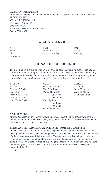## FACIAL ENHANCEMENTS

Add any enhancement to your service for a customized experience of 50 minutes or more! AROMATHERAPY WARM OIL SCALP & HAIR ULTIMATE HYDRATION CUSTOM MASK BIO-CELLULOSE EYE OR LIP TREATMENT COLLAGEN MASK

## WAXING SERVICES

Brow & Lip

Nose Back Reader **Face Back** Brow Bikini Underarm Bikini Lip **Arm or lower leg** Full Leg

## THE SALON EXPERIENCE

The Grand Salon is proud to offer an array of salon services including cuts, colors, styles, and hair treatments. The prices listed are a starting point based on your hair type, length, condition, and any other factors the stylist may recommend. It is strongly encouraged for our guests to consult with one of our stylists before setting an appointment.

## STYLING COLOR MAKE-UP

Updo/Bridal Style Full Highlights

Blow out One Color Process Application Blow out & Style Two Color Process Bridal/Occasion Dry Cut only **Partial Highlights** Airbrush Makeup Wash, Cut & Style **Color** Color Color Lash Application Gentlemen's cut Two Color One Color Two Color Gentlemen's Color

## NAIL SERVICES

\*Our nail services are for a clean natural nail. Please select shellac/gel removal from the enhancements menu if you would like your gel or shellac removed. Please note that we do not remove SNS/dip polish at this time.

## THE GRAND SIGNATURE NAIL EXPERIENCE – COMBINED MANI/PEDI

Immerse yourself in our state of the art couture pedicure chairs and luxury manicure stations to enjoy the best of both a manicure and pedicure. Warm botanical neck wraps and your choice of offered beverages begin this luxury service. The manicure includes nail and cuticle care, shaping, buffing, polish, and cuticle hydration. During the pedicure you will receive a warm stone massage, reflexology, hydrating butters, gentle exfoliants, luxurious oils, and nail care followed by your choice of polish. Combined, this is the ultimate service to have your nails looking their best!

110m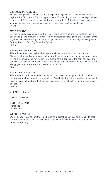## CBD SOLEFUL PEDICURE

Enhance your pedicure routine with this full spectrum organic CBD pedicure. Your journey begins with a CBD bath truffle during your soak, CBD balancing oil to sooth your legs and feet, as well as a CBD Restore balm foot and leg treatment with CBD Relief balm warm foot mask. Your nail technician will shape, buff, and polish your toes to sublime perfection. 50m

## HOLE 9 YARDS

Our most popular service for men, the Hole 9 Yards soothes aching feet and legs from a day on the greens. Includes Bourbon inspired ingredients starting with the foot soak, brown sugar and vanilla scrub, leg and foot massage and capped off with a locally-distilled glass of Dettling Bourbon from Big Escambia Spirits.

50m

## THE GRAND MANICURE

This ultimate manicure begins with a warm soak, gentle exfoliant, and luxurious oils. Massage to the hands and forearms allows you to completely relax and ensures your hands will be silky smooth and velvety soft. Meticulous care is applied to the nail, nail bed, and cuticles. The polish color of your choice finishes this service. \*Please note, if you have a nut allergy, please indicate it in the notes for your service. 50mins

## THE GRAND PEDICURE

This wonderful pedicure includes an aromatic foot soak, a thorough exfoliation, callus removal and nail bed attention and nutrition. Deep hydrating butters, gentle exfoliants and luxury oils are followed by a foot and calf massage. The polish color of your choice finishes this service.

50mins

GEL MANI 50mins

GEL PEDI 50mins

## ENHANCEMENTS

French Tip Gel Removal

## WEDDING PACKAGES

We are happy to assist our Brides and Grooms in selecting services and options to best suit their individual needs. Please contact our Spa Reservationist at 251.990.6385 for details and pricing.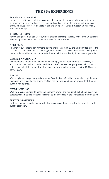# THE SPA EXPERIENCE

## SPA FACILITY DAY PASS

Includes use of indoor pool, fitness center, dry sauna, steam room, whirlpool, quiet room, all amenities, plus use of locker, spa robe, and sandals. Facility fee waived with purchase of service. Must be at least 16 years of age to participate. Available Tuesday-Thursday only. Excludes Holidays.

## THE QUIET ROOM

For the tranquility of all Spa Guests, we ask that you please speak softly while in the Quiet Room. We happily invite you to use our public spaces for conversation.

## AGE POLICY

In honor of our peaceful environment, guests under the age of 16 are not permitted to use the spa facilities. However, we do encourage them to receive services and an adult to stay with them for the duration of their treatments. Please call the spa directly to make arrangements.

## CANCELLATION POLICY

We understand that conflicts arise and cancelling your spa appointment is necessary. As a courtesy to the service providers and the spa staff, we ask that you please call 24 hours before your scheduled appointment to cancel your reservation to avoid paying 100% of the service cost.

## ARRIVAL

We strongly encourage our guests to arrive 30 minutes before their scheduled apptointment to change and enjoy the spa amenities. Services will begin and end on time so that the next guest is not delayed.

## CELL PHONE USE

We kindly ask each guest to honor one another's privacy and restrict all cell phone use in the quiet rooms and lockers. Personal calls may be made outside of the spa facilities or in the salon.

## SERVICE GRATUITIES

Gratuities are not included on individual spa services and may be left at the front desk at the guest's discretion.